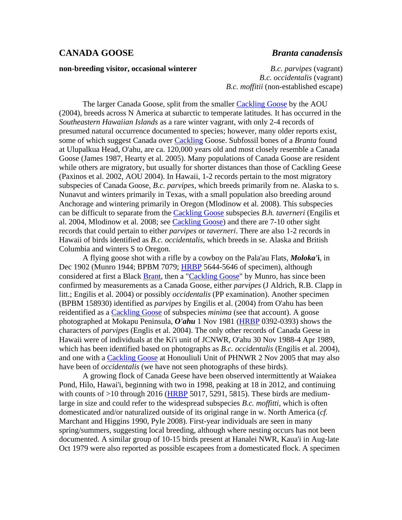## **CANADA GOOSE** *Branta canadensis*

## **non-breeding visitor, occasional winterer** *B.c. parvipes* (vagrant)

*B.c. occidentalis* (vagrant) *B.c. moffitii* (non-established escape)

The larger Canada Goose, split from the smaller [Cackling Goose](http://hbs.bishopmuseum.org/birds/rlp-monograph/pdfs/01-Anatidae/CACG.pdf) by the AOU (2004), breeds across N America at subarctic to temperate latitudes. It has occurred in the *Southeastern Hawaiian Islands* as a rare winter vagrant, with only 2-4 records of presumed natural occurrence documented to species; however, many older reports exist, some of which suggest Canada over [Cackling](http://hbs.bishopmuseum.org/birds/rlp-monograph/pdfs/01-Anatidae/CACG.pdf) Goose. Subfossil bones of a *Branta* found at Ulupalkua Head, O'ahu, are ca. 120,000 years old and most closely resemble a Canada Goose (James 1987, Hearty et al. 2005). Many populations of Canada Goose are resident while others are migratory, but usually for shorter distances than those of Cackling Geese (Paxinos et al. 2002, AOU 2004). In Hawaii, 1-2 records pertain to the most migratory subspecies of Canada Goose, *B.c. parvipes*, which breeds primarily from ne. Alaska to s. Nunavut and winters primarily in Texas, with a small population also breeding around Anchorage and wintering primarily in Oregon (Mlodinow et al. 2008). This subspecies can be difficult to separate from the [Cackling Goose](http://hbs.bishopmuseum.org/birds/rlp-monograph/pdfs/01-Anatidae/CACG.pdf) subspecies *B.h. taverneri* (Engilis et al. 2004, Mlodinow et al. 2008; see [Cackling Goose\)](http://hbs.bishopmuseum.org/birds/rlp-monograph/pdfs/01-Anatidae/CACG.pdf) and there are 7-10 other sight records that could pertain to either *parvipes* or *taverneri*. There are also 1-2 records in Hawaii of birds identified as *B.c. occidentalis*, which breeds in se. Alaska and British Columbia and winters S to Oregon.

A flying goose shot with a rifle by a cowboy on the Pala'au Flats, *Moloka'***i**, in Dec 1902 (Munro 1944; BPBM 7079; **[HRBP](http://hbs.bishopmuseum.org/birds/rlp-monograph/HRBP-pages/01-Anatidae/CANG-HRBP.htm)** 5644-5646 of specimen), although considered at first a Black [Brant,](http://hbs.bishopmuseum.org/birds/rlp-monograph/pdfs/01-Anatidae/BRAN.pdf) then a ["Cackling Goose"](http://hbs.bishopmuseum.org/birds/rlp-monograph/pdfs/01-Anatidae/CACG.pdf) by Munro, has since been confirmed by measurements as a Canada Goose, either *parvipes* (J Aldrich, R.B. Clapp in litt.; Engilis et al. 2004) or possibly *occidentalis* (PP examination). Another specimen (BPBM 158930) identified as *parvipes* by Engilis et al. (2004) from O'ahu has been reidentified as a [Cackling Goose](http://hbs.bishopmuseum.org/birds/rlp-monograph/pdfs/01-Anatidae/CACG.pdf) of subspecies *minima* (see that account). A goose photographed at Mokapu Peninsula, *O'ahu* 1 Nov 1981 [\(HRBP](http://hbs.bishopmuseum.org/birds/rlp-monograph/HRBP-pages/01-Anatidae/CANG-HRBP.htm) 0392-0393) shows the characters of *parvipes* (Englis et al. 2004). The only other records of Canada Geese in Hawaii were of individuals at the Ki'i unit of JCNWR, O'ahu 30 Nov 1988-4 Apr 1989, which has been identified based on photographs as *B.c. occidentalis* (Engilis et al. 2004), and one with a [Cackling Goose](http://hbs.bishopmuseum.org/birds/rlp-monograph/pdfs/01-Anatidae/CACG.pdf) at Honouliuli Unit of PHNWR 2 Nov 2005 that may also have been of *occidentalis* (we have not seen photographs of these birds).

A growing flock of Canada Geese have been observed intermittently at Waiakea Pond, Hilo, Hawai'i, beginning with two in 1998, peaking at 18 in 2012, and continuing with counts of  $>10$  through 2016 [\(HRBP](http://hbs.bishopmuseum.org/birds/rlp-monograph/HRBP-pages/01-Anatidae/CANG-HRBP.htm) 5017, 5291, 5815). These birds are mediumlarge in size and could refer to the widespread subspecies *B.c. moffitti*, which is often domesticated and/or naturalized outside of its original range in w. North America (*cf.* Marchant and Higgins 1990, Pyle 2008). First-year individuals are seen in many spring/summers, suggesting local breeding, although where nesting occurs has not been documented. A similar group of 10-15 birds present at Hanalei NWR, Kaua'i in Aug-late Oct 1979 were also reported as possible escapees from a domesticated flock. A specimen